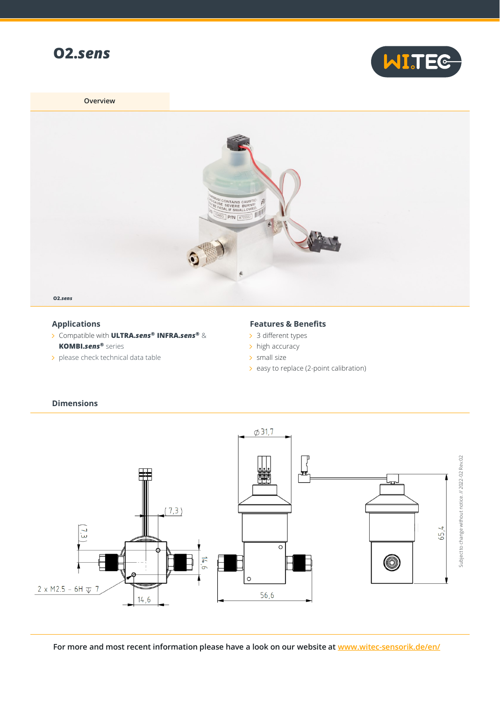



**Overview**



## **Applications**

- Compatible with **ULTRA.***sens***® INFRA.***sens***®** & **KOMBI.***sens***®** series
- > please check technical data table

## **Features & Benefits**

- > 3 different types
- > high accuracy
- $\rightarrow$  small size
- $\ge$  easy to replace (2-point calibration)



## **Dimensions**